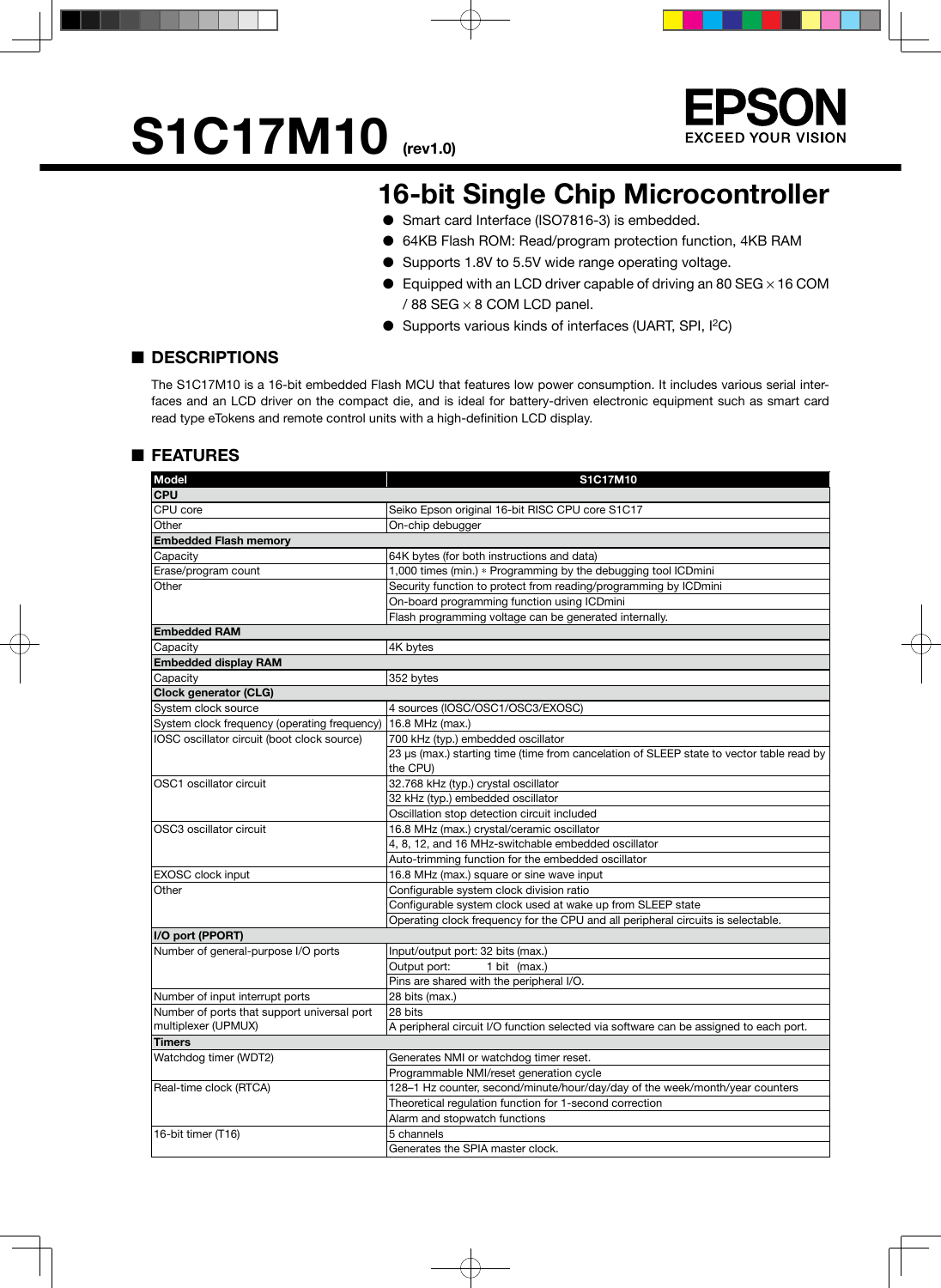# **S1C17M10** (rev1.0)



### **16-bit Single Chip Microcontroller**

- Smart card Interface (ISO7816-3) is embedded.
- 64KB Flash ROM: Read/program protection function, 4KB RAM
- Supports 1.8V to 5.5V wide range operating voltage.
- $\bullet$  Equipped with an LCD driver capable of driving an 80 SEG  $\times$  16 COM / 88 SEG × 8 COM LCD panel.
- Supports various kinds of interfaces (UART, SPI, I<sup>2</sup>C)

#### ■ **DESCRIPTIONS**

The S1C17M10 is a 16-bit embedded Flash MCU that features low power consumption. It includes various serial interfaces and an LCD driver on the compact die, and is ideal for battery-driven electronic equipment such as smart card read type eTokens and remote control units with a high-definition LCD display.

#### ■ **FEATURES**

| <b>Model</b>                                 | S1C17M10                                                                                             |  |  |  |  |
|----------------------------------------------|------------------------------------------------------------------------------------------------------|--|--|--|--|
| <b>CPU</b>                                   |                                                                                                      |  |  |  |  |
| CPU core                                     | Seiko Epson original 16-bit RISC CPU core S1C17                                                      |  |  |  |  |
| Other                                        | On-chip debugger                                                                                     |  |  |  |  |
| <b>Embedded Flash memory</b>                 |                                                                                                      |  |  |  |  |
| Capacity                                     | 64K bytes (for both instructions and data)                                                           |  |  |  |  |
| Erase/program count                          | 1,000 times (min.) * Programming by the debugging tool ICDmini                                       |  |  |  |  |
| Other                                        | Security function to protect from reading/programming by ICDmini                                     |  |  |  |  |
|                                              | On-board programming function using ICDmini                                                          |  |  |  |  |
|                                              | Flash programming voltage can be generated internally.                                               |  |  |  |  |
| <b>Embedded RAM</b>                          |                                                                                                      |  |  |  |  |
| Capacity                                     | 4K bytes                                                                                             |  |  |  |  |
| <b>Embedded display RAM</b>                  |                                                                                                      |  |  |  |  |
| Capacity                                     | 352 bytes                                                                                            |  |  |  |  |
| Clock generator (CLG)                        |                                                                                                      |  |  |  |  |
| System clock source                          | 4 sources (IOSC/OSC1/OSC3/EXOSC)                                                                     |  |  |  |  |
| System clock frequency (operating frequency) | 16.8 MHz (max.)                                                                                      |  |  |  |  |
| IOSC oscillator circuit (boot clock source)  | 700 kHz (typ.) embedded oscillator                                                                   |  |  |  |  |
|                                              | 23 µs (max.) starting time (time from cancelation of SLEEP state to vector table read by<br>the CPU) |  |  |  |  |
| OSC1 oscillator circuit                      | 32.768 kHz (typ.) crystal oscillator                                                                 |  |  |  |  |
|                                              | 32 kHz (typ.) embedded oscillator                                                                    |  |  |  |  |
|                                              | Oscillation stop detection circuit included                                                          |  |  |  |  |
| OSC3 oscillator circuit                      | 16.8 MHz (max.) crystal/ceramic oscillator                                                           |  |  |  |  |
|                                              | 4, 8, 12, and 16 MHz-switchable embedded oscillator                                                  |  |  |  |  |
|                                              | Auto-trimming function for the embedded oscillator                                                   |  |  |  |  |
| <b>EXOSC</b> clock input                     | 16.8 MHz (max.) square or sine wave input                                                            |  |  |  |  |
| Other                                        | Configurable system clock division ratio                                                             |  |  |  |  |
|                                              | Configurable system clock used at wake up from SLEEP state                                           |  |  |  |  |
|                                              | Operating clock frequency for the CPU and all peripheral circuits is selectable.                     |  |  |  |  |
| I/O port (PPORT)                             |                                                                                                      |  |  |  |  |
| Number of general-purpose I/O ports          | Input/output port: 32 bits (max.)                                                                    |  |  |  |  |
|                                              | Output port:<br>1 bit $(max.)$                                                                       |  |  |  |  |
|                                              | Pins are shared with the peripheral I/O.                                                             |  |  |  |  |
| Number of input interrupt ports              | 28 bits (max.)                                                                                       |  |  |  |  |
| Number of ports that support universal port  | 28 bits                                                                                              |  |  |  |  |
| multiplexer (UPMUX)                          | A peripheral circuit I/O function selected via software can be assigned to each port.                |  |  |  |  |
| <b>Timers</b>                                |                                                                                                      |  |  |  |  |
| Watchdog timer (WDT2)                        | Generates NMI or watchdog timer reset.                                                               |  |  |  |  |
|                                              | Programmable NMI/reset generation cycle                                                              |  |  |  |  |
| Real-time clock (RTCA)                       | 128-1 Hz counter, second/minute/hour/day/day of the week/month/year counters                         |  |  |  |  |
|                                              | Theoretical regulation function for 1-second correction                                              |  |  |  |  |
|                                              | Alarm and stopwatch functions                                                                        |  |  |  |  |
| 16-bit timer (T16)                           | 5 channels                                                                                           |  |  |  |  |
|                                              | Generates the SPIA master clock.                                                                     |  |  |  |  |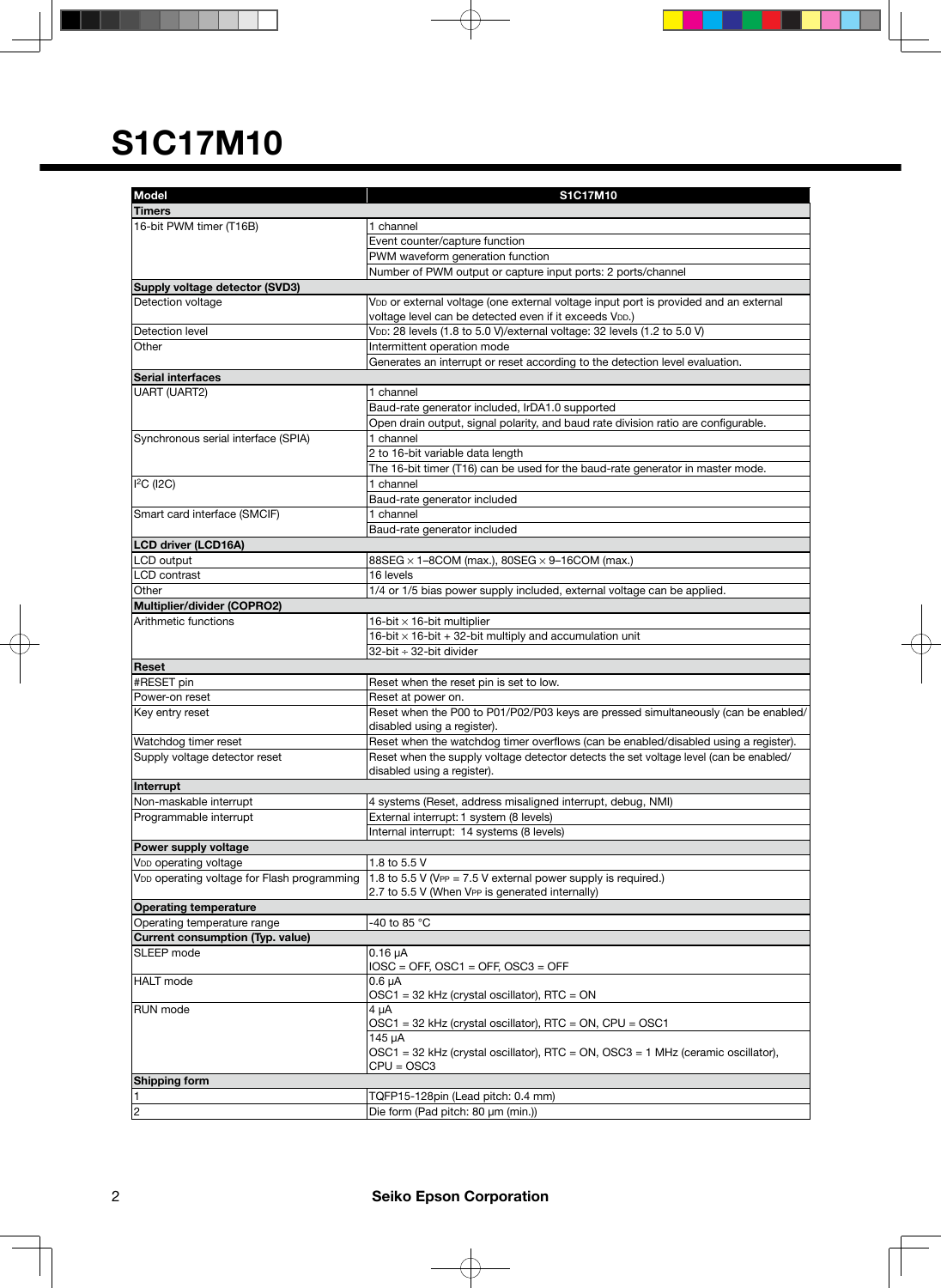| <b>Model</b>                                            | S1C17M10                                                                              |  |  |  |  |
|---------------------------------------------------------|---------------------------------------------------------------------------------------|--|--|--|--|
|                                                         |                                                                                       |  |  |  |  |
| <b>Timers</b>                                           | 1 channel                                                                             |  |  |  |  |
| 16-bit PWM timer (T16B)                                 | Event counter/capture function                                                        |  |  |  |  |
|                                                         | PWM waveform generation function                                                      |  |  |  |  |
|                                                         | Number of PWM output or capture input ports: 2 ports/channel                          |  |  |  |  |
|                                                         |                                                                                       |  |  |  |  |
| Supply voltage detector (SVD3)<br>Detection voltage     | VDD or external voltage (one external voltage input port is provided and an external  |  |  |  |  |
|                                                         | voltage level can be detected even if it exceeds VDD.)                                |  |  |  |  |
| Detection level                                         | VDD: 28 levels (1.8 to 5.0 V)/external voltage: 32 levels (1.2 to 5.0 V)              |  |  |  |  |
| Other                                                   | Intermittent operation mode                                                           |  |  |  |  |
|                                                         | Generates an interrupt or reset according to the detection level evaluation.          |  |  |  |  |
| <b>Serial interfaces</b>                                |                                                                                       |  |  |  |  |
| <b>UART (UART2)</b>                                     | 1 channel                                                                             |  |  |  |  |
|                                                         | Baud-rate generator included, IrDA1.0 supported                                       |  |  |  |  |
|                                                         | Open drain output, signal polarity, and baud rate division ratio are configurable.    |  |  |  |  |
| Synchronous serial interface (SPIA)                     | 1 channel                                                                             |  |  |  |  |
|                                                         | 2 to 16-bit variable data length                                                      |  |  |  |  |
|                                                         | The 16-bit timer (T16) can be used for the baud-rate generator in master mode.        |  |  |  |  |
| $I2C$ (I2C)                                             | 1 channel                                                                             |  |  |  |  |
|                                                         | Baud-rate generator included                                                          |  |  |  |  |
| Smart card interface (SMCIF)                            | 1 channel                                                                             |  |  |  |  |
|                                                         | Baud-rate generator included                                                          |  |  |  |  |
| <b>LCD driver (LCD16A)</b>                              |                                                                                       |  |  |  |  |
| LCD output                                              | $88SEG \times 1-8COM$ (max.), $80SEG \times 9-16COM$ (max.)                           |  |  |  |  |
| <b>LCD</b> contrast                                     | 16 levels                                                                             |  |  |  |  |
| Other                                                   |                                                                                       |  |  |  |  |
| Multiplier/divider (COPRO2)                             | 1/4 or 1/5 bias power supply included, external voltage can be applied.               |  |  |  |  |
| Arithmetic functions                                    | 16-bit $\times$ 16-bit multiplier                                                     |  |  |  |  |
|                                                         | 16-bit $\times$ 16-bit + 32-bit multiply and accumulation unit                        |  |  |  |  |
|                                                         | 32-bit ÷ 32-bit divider                                                               |  |  |  |  |
| <b>Reset</b>                                            |                                                                                       |  |  |  |  |
| #RESET pin                                              |                                                                                       |  |  |  |  |
| Power-on reset                                          | Reset when the reset pin is set to low.<br>Reset at power on.                         |  |  |  |  |
|                                                         | Reset when the P00 to P01/P02/P03 keys are pressed simultaneously (can be enabled/    |  |  |  |  |
| Key entry reset                                         | disabled using a register).                                                           |  |  |  |  |
| Watchdog timer reset                                    | Reset when the watchdog timer overflows (can be enabled/disabled using a register).   |  |  |  |  |
| Supply voltage detector reset                           | Reset when the supply voltage detector detects the set voltage level (can be enabled/ |  |  |  |  |
|                                                         | disabled using a register).                                                           |  |  |  |  |
| Interrupt                                               |                                                                                       |  |  |  |  |
| Non-maskable interrupt                                  | 4 systems (Reset, address misaligned interrupt, debug, NMI)                           |  |  |  |  |
| Programmable interrupt                                  | External interrupt: 1 system (8 levels)                                               |  |  |  |  |
|                                                         | Internal interrupt: 14 systems (8 levels)                                             |  |  |  |  |
| Power supply voltage                                    |                                                                                       |  |  |  |  |
| V <sub>DD</sub> operating voltage                       | 1.8 to 5.5 V                                                                          |  |  |  |  |
| V <sub>DD</sub> operating voltage for Flash programming | 1.8 to 5.5 V (VPP = $7.5$ V external power supply is required.)                       |  |  |  |  |
|                                                         | 2.7 to 5.5 V (When VPP is generated internally)                                       |  |  |  |  |
| <b>Operating temperature</b>                            |                                                                                       |  |  |  |  |
| Operating temperature range                             | -40 to 85 °C                                                                          |  |  |  |  |
| <b>Current consumption (Typ. value)</b>                 |                                                                                       |  |  |  |  |
| SLEEP mode                                              | $0.16 \mu A$                                                                          |  |  |  |  |
|                                                         | $IOSC = OFF$ , $OSC1 = OFF$ , $OSC3 = OFF$                                            |  |  |  |  |
| <b>HALT</b> mode                                        | $0.6 \mu A$                                                                           |  |  |  |  |
|                                                         | OSC1 = 32 kHz (crystal oscillator), RTC = ON                                          |  |  |  |  |
| RUN mode                                                | $4 \mu A$                                                                             |  |  |  |  |
|                                                         | OSC1 = 32 kHz (crystal oscillator), RTC = ON, CPU = OSC1                              |  |  |  |  |
|                                                         | 145 µA                                                                                |  |  |  |  |
|                                                         | $OSC1 = 32$ kHz (crystal oscillator), RTC = ON, $OSC3 = 1$ MHz (ceramic oscillator),  |  |  |  |  |
|                                                         | $CPU = OSC3$                                                                          |  |  |  |  |
| <b>Shipping form</b>                                    |                                                                                       |  |  |  |  |
| 11                                                      | TQFP15-128pin (Lead pitch: 0.4 mm)                                                    |  |  |  |  |
| 2                                                       | Die form (Pad pitch: 80 µm (min.))                                                    |  |  |  |  |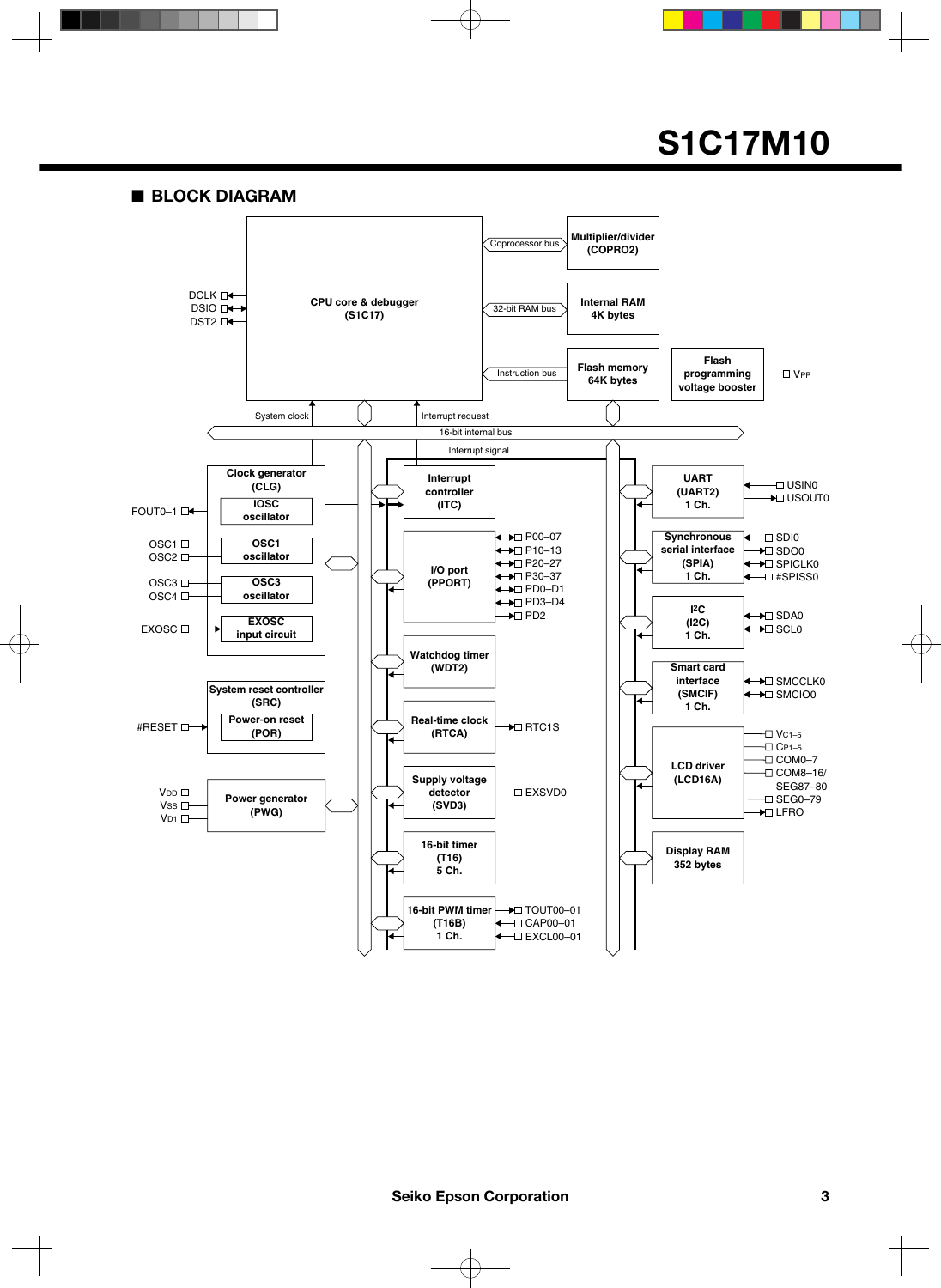■ **BLOCK DIAGRAM**

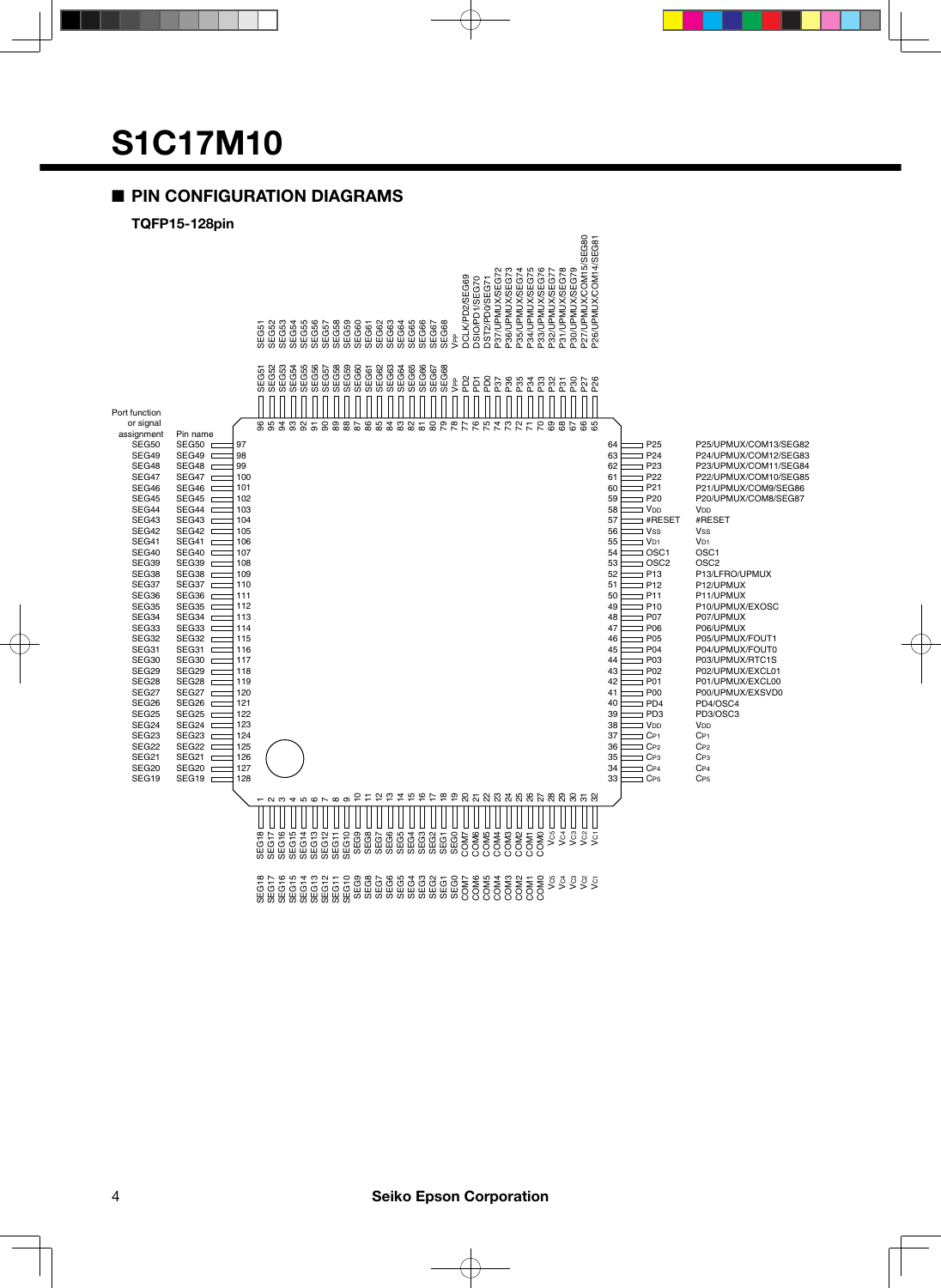#### ■ **PIN CONFIGURATION DIAGRAMS**

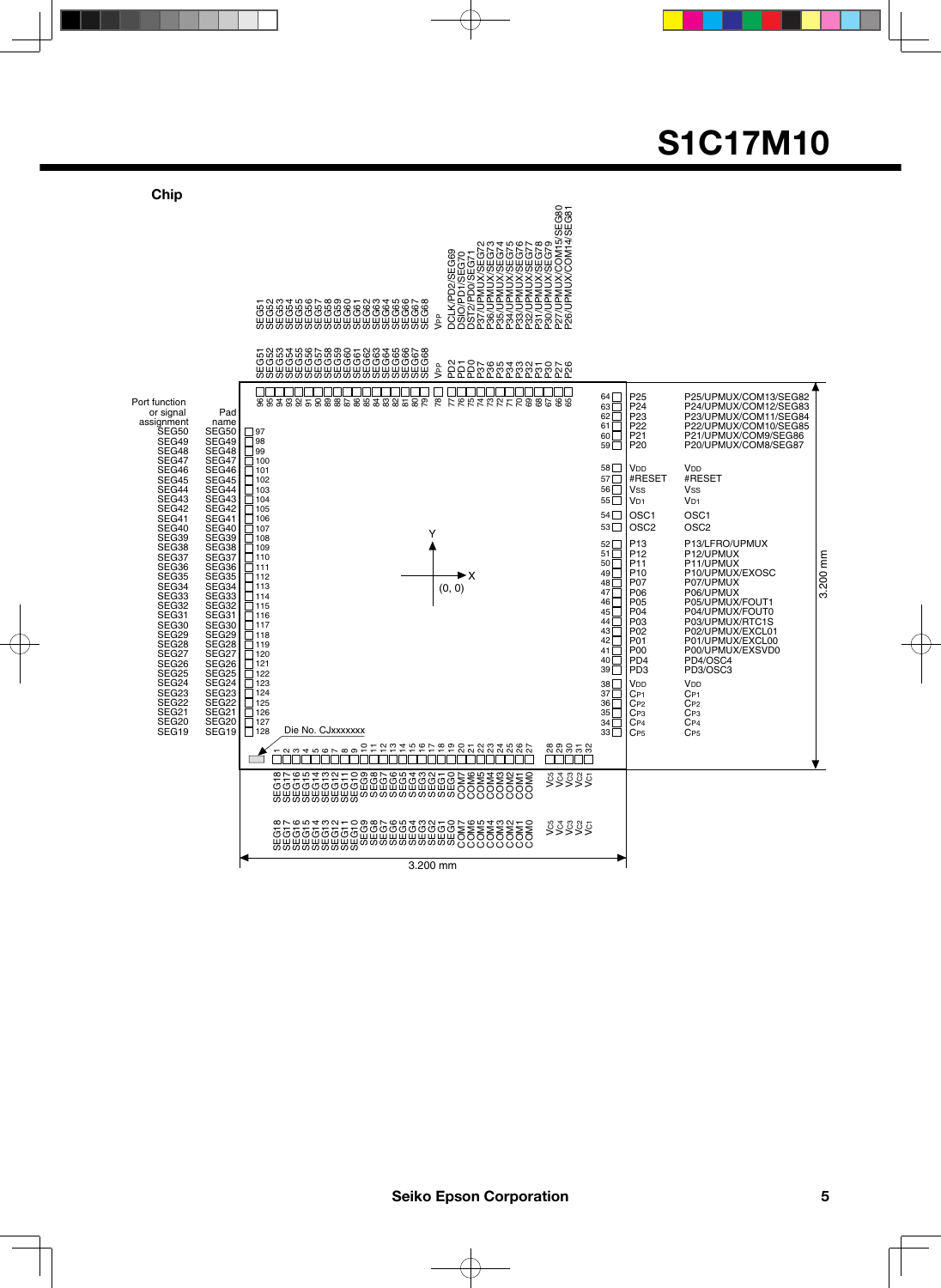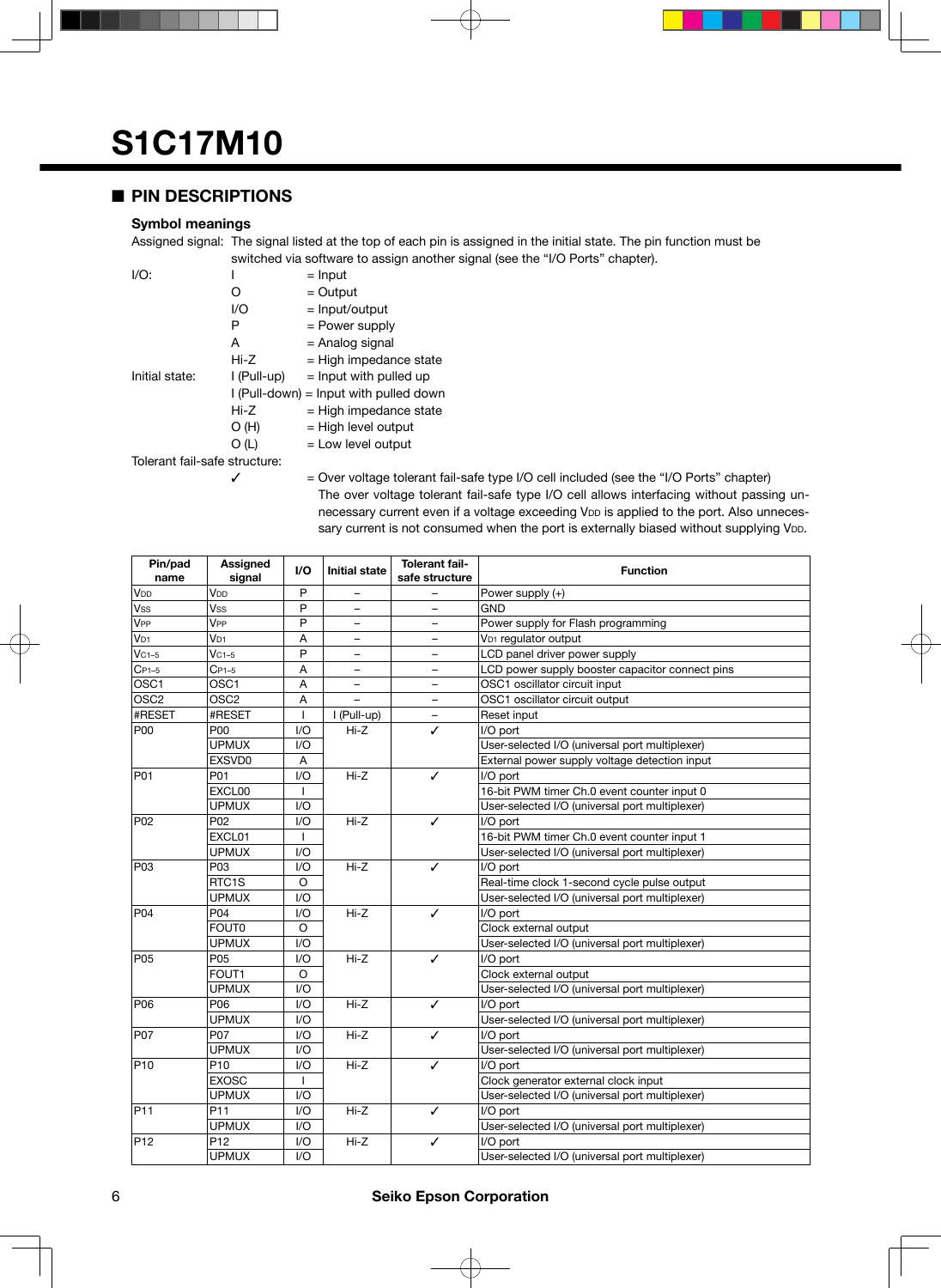#### ■ **PIN DESCRIPTIONS**

#### **Symbol meanings**

Assigned signal: The signal listed at the top of each pin is assigned in the initial state. The pin function must be switched via software to assign another signal (see the "I/O Ports" chapter).

| $I/O$ :                       |                                          | $=$ Input                |  |  |  |
|-------------------------------|------------------------------------------|--------------------------|--|--|--|
|                               | 0                                        | $=$ Output               |  |  |  |
|                               | I/O                                      | $=$ Input/output         |  |  |  |
|                               | Р                                        | = Power supply           |  |  |  |
|                               | А                                        | = Analog signal          |  |  |  |
|                               | Hi-Z                                     | $=$ High impedance state |  |  |  |
| Initial state:                | I (Pull-up)                              | $=$ lnput with pulled up |  |  |  |
|                               | $I$ (Pull-down) = Input with pulled down |                          |  |  |  |
|                               | Hi-Z                                     | $=$ High impedance state |  |  |  |
|                               | O(H)                                     | $=$ High level output    |  |  |  |
|                               | O (L)                                    | $=$ Low level output     |  |  |  |
| Tolerant fail-safe structure: |                                          |                          |  |  |  |
|                               |                                          |                          |  |  |  |

 $\checkmark$  = Over voltage tolerant fail-safe type I/O cell included (see the "I/O Ports" chapter) The over voltage tolerant fail-safe type I/O cell allows interfacing without passing unnecessary current even if a voltage exceeding VDD is applied to the port. Also unnecessary current is not consumed when the port is externally biased without supplying VDD.

| Pin/pad<br>name  | Assigned<br>signal | I/O     | <b>Initial state</b>     | <b>Tolerant fail-</b><br>safe structure | <b>Function</b>                                 |
|------------------|--------------------|---------|--------------------------|-----------------------------------------|-------------------------------------------------|
| V <sub>DD</sub>  | V <sub>DD</sub>    | P       |                          |                                         | Power supply (+)                                |
| <b>Vss</b>       | Vss                | P       | $\overline{\phantom{0}}$ | $\overline{a}$                          | <b>GND</b>                                      |
| V <sub>PP</sub>  | V <sub>PP</sub>    | P       | $\overline{\phantom{0}}$ | $\overline{\phantom{0}}$                | Power supply for Flash programming              |
| V <sub>D1</sub>  | V <sub>D1</sub>    | A       | $\overline{\phantom{0}}$ | $\qquad \qquad -$                       | V <sub>D1</sub> regulator output                |
| $VC1-5$          | $VC1-5$            | P       | -                        | $\qquad \qquad -$                       | LCD panel driver power supply                   |
| $C_{P1-5}$       | Cp1-5              | Α       | $\overline{\phantom{0}}$ | $\overline{\phantom{0}}$                | LCD power supply booster capacitor connect pins |
| OSC <sub>1</sub> | OSC1               | A       | -                        | ÷                                       | OSC1 oscillator circuit input                   |
| OSC <sub>2</sub> | OSC2               | A       |                          |                                         | OSC1 oscillator circuit output                  |
| #RESET           | #RESET             | L       | I (Pull-up)              |                                         | Reset input                                     |
| P00              | P00                | 1/O     | Hi-Z                     | ✓                                       | I/O port                                        |
|                  | <b>UPMUX</b>       | 1/O     |                          |                                         | User-selected I/O (universal port multiplexer)  |
|                  | EXSVD0             | Α       |                          |                                         | External power supply voltage detection input   |
| P01              | P01                | I/O     | $Hi-Z$                   | ✓                                       | I/O port                                        |
|                  | EXCL00             | L       |                          |                                         | 16-bit PWM timer Ch.0 event counter input 0     |
|                  | <b>UPMUX</b>       | 1/O     |                          |                                         | User-selected I/O (universal port multiplexer)  |
| P02              | P02                | I/O     | Hi-Z                     | ✓                                       | I/O port                                        |
|                  | EXCL01             |         |                          |                                         | 16-bit PWM timer Ch.0 event counter input 1     |
|                  | <b>UPMUX</b>       | I/O     |                          |                                         | User-selected I/O (universal port multiplexer)  |
| P03              | P03                | 1/O     | Hi-Z                     | ✓                                       | I/O port                                        |
|                  | RTC1S              | $\circ$ |                          |                                         | Real-time clock 1-second cycle pulse output     |
|                  | <b>UPMUX</b>       | I/O     |                          |                                         | User-selected I/O (universal port multiplexer)  |
| <b>P04</b>       | P04                | I/O     | $Hi-Z$                   | ✓                                       | I/O port                                        |
|                  | FOUT0              | $\circ$ |                          |                                         | Clock external output                           |
|                  | <b>UPMUX</b>       | 1/O     |                          |                                         | User-selected I/O (universal port multiplexer)  |
| P05              | P05                | 1/O     | Hi-Z                     | ✓                                       | I/O port                                        |
|                  | FOUT1              | $\circ$ |                          |                                         | Clock external output                           |
|                  | <b>UPMUX</b>       | 1/O     |                          |                                         | User-selected I/O (universal port multiplexer)  |
| <b>P06</b>       | P06                | I/O     | $Hi-Z$                   | $\checkmark$                            | I/O port                                        |
|                  | <b>UPMUX</b>       | 1/O     |                          |                                         | User-selected I/O (universal port multiplexer)  |
| P07              | P07                | 1/O     | $Hi-Z$                   | ✓                                       | I/O port                                        |
|                  | <b>UPMUX</b>       | 1/O     |                          |                                         | User-selected I/O (universal port multiplexer)  |
| P <sub>10</sub>  | P <sub>10</sub>    | I/O     | $Hi-Z$                   | ✓                                       | I/O port                                        |
|                  | <b>EXOSC</b>       | T       |                          |                                         | Clock generator external clock input            |
|                  | <b>UPMUX</b>       | 1/O     |                          |                                         | User-selected I/O (universal port multiplexer)  |
| P <sub>11</sub>  | P11                | 1/O     | Hi-Z                     | ✓                                       | I/O port                                        |
|                  | <b>UPMUX</b>       | I/O     |                          |                                         | User-selected I/O (universal port multiplexer)  |
| P <sub>12</sub>  | P12                | I/O     | Hi-Z                     | ✓                                       | I/O port                                        |
|                  | <b>UPMUX</b>       | 1/O     |                          |                                         | User-selected I/O (universal port multiplexer)  |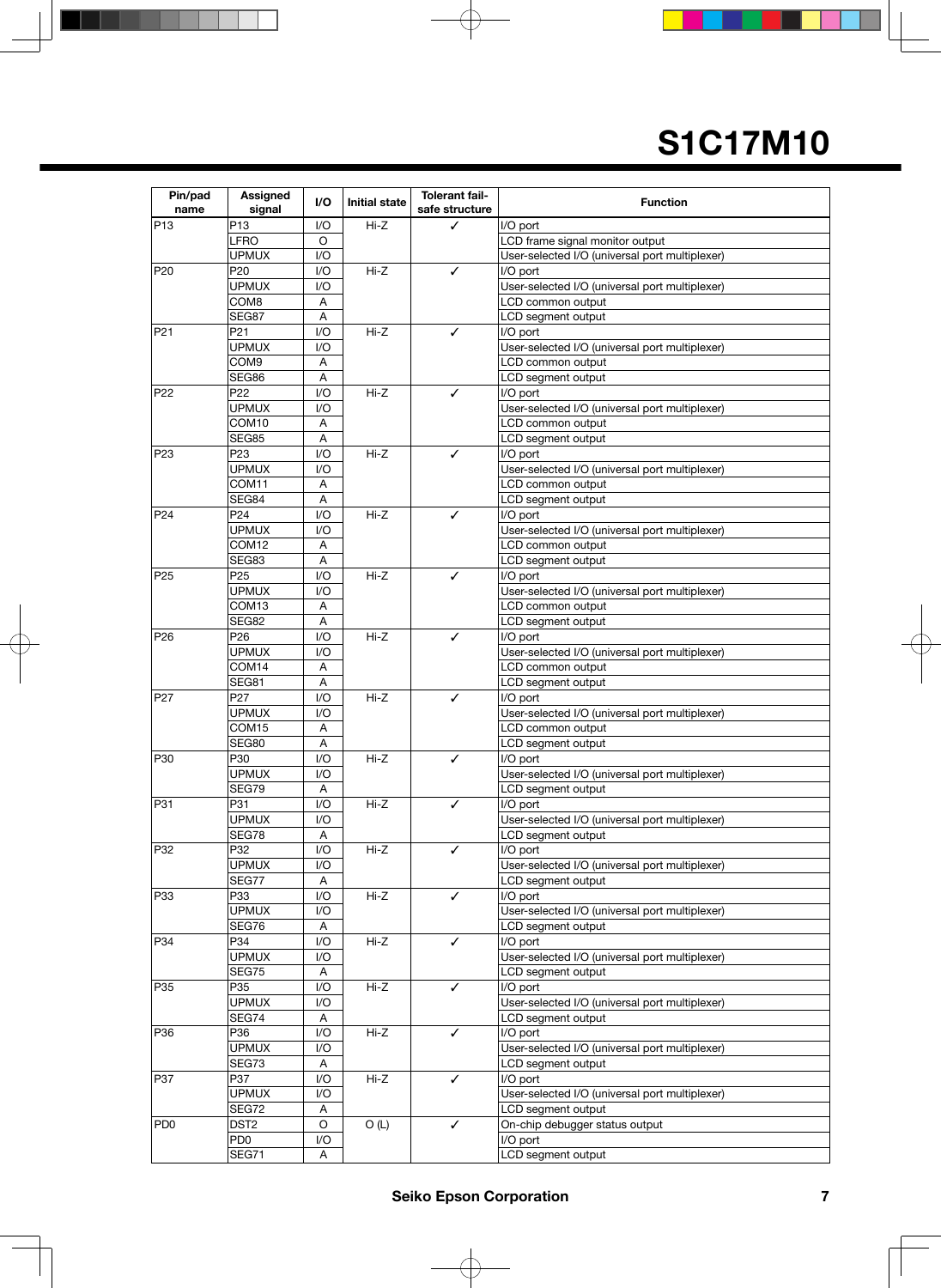| Pin/pad<br>name | <b>Assigned</b><br>signal | I/O | <b>Initial state</b> | <b>Tolerant fail-</b><br>safe structure | <b>Function</b>                                |  |
|-----------------|---------------------------|-----|----------------------|-----------------------------------------|------------------------------------------------|--|
| P <sub>13</sub> | P13                       | I/O | $Hi-Z$               | ✓                                       | I/O port                                       |  |
|                 | LFRO                      | O   |                      |                                         | LCD frame signal monitor output                |  |
|                 | <b>UPMUX</b>              | I/O |                      |                                         | User-selected I/O (universal port multiplexer) |  |
| P20             | P20                       | 1/O | Hi-Z                 | ✓                                       | I/O port                                       |  |
|                 | UPMUX                     | I/O |                      |                                         | User-selected I/O (universal port multiplexer) |  |
|                 | COM8                      | Α   |                      |                                         | LCD common output                              |  |
|                 | SEG87                     | Α   |                      |                                         | LCD segment output                             |  |
| P <sub>21</sub> | P <sub>21</sub>           | 1/O | $Hi-Z$               | ✓                                       | I/O port                                       |  |
|                 | <b>UPMUX</b>              | 1/O |                      |                                         | User-selected I/O (universal port multiplexer) |  |
|                 | COM9                      | Α   |                      |                                         | LCD common output                              |  |
|                 | SEG86                     | Α   |                      |                                         | LCD segment output                             |  |
| P <sub>22</sub> | P <sub>22</sub>           | 1/O | $Hi-Z$               | ✓                                       | I/O port                                       |  |
|                 | <b>UPMUX</b>              | 1/O |                      |                                         | User-selected I/O (universal port multiplexer) |  |
|                 | COM10                     | Α   |                      |                                         | LCD common output                              |  |
|                 | SEG85                     | Α   |                      |                                         | LCD segment output                             |  |
| P <sub>23</sub> | P <sub>23</sub>           | 1/O | $Hi-Z$               | ✓                                       | I/O port                                       |  |
|                 | <b>UPMUX</b>              | 1/O |                      |                                         | User-selected I/O (universal port multiplexer) |  |
|                 | COM11                     | Α   |                      |                                         | LCD common output                              |  |
|                 | SEG84                     | A   |                      |                                         | LCD segment output                             |  |
| P <sub>24</sub> | P24                       | 1/O | $Hi-Z$               | ✓                                       | I/O port                                       |  |
|                 | <b>UPMUX</b>              | 1/O |                      |                                         | User-selected I/O (universal port multiplexer) |  |
|                 | COM <sub>12</sub>         | Α   |                      |                                         | LCD common output                              |  |
|                 | SEG83                     | A   |                      |                                         | LCD segment output                             |  |
| P <sub>25</sub> | P <sub>25</sub>           | 1/O | $Hi-Z$               | ✓                                       | I/O port                                       |  |
|                 | UPMUX                     | 1/O |                      |                                         | User-selected I/O (universal port multiplexer) |  |
|                 | COM13                     | Α   |                      |                                         | LCD common output                              |  |
|                 | SEG82                     | Α   |                      |                                         | LCD segment output                             |  |
| P <sub>26</sub> | P <sub>26</sub>           | 1/O | $Hi-Z$               | ✓                                       | I/O port                                       |  |
|                 | UPMUX                     | 1/O |                      |                                         | User-selected I/O (universal port multiplexer) |  |
|                 | COM14                     | Α   |                      |                                         | LCD common output                              |  |
|                 | SEG81                     | Α   |                      |                                         | LCD segment output                             |  |
| P <sub>27</sub> | P27                       | 1/O | $Hi-Z$               | ✓                                       | I/O port                                       |  |
|                 | <b>UPMUX</b>              | 1/O |                      |                                         | User-selected I/O (universal port multiplexer) |  |
|                 | COM <sub>15</sub>         | A   |                      |                                         | LCD common output                              |  |
|                 | SEG80                     | Α   |                      |                                         | LCD segment output                             |  |
| P30             | P30                       | 1/O | $Hi-Z$               | ✓                                       | I/O port                                       |  |
|                 | <b>UPMUX</b>              | 1/O |                      |                                         | User-selected I/O (universal port multiplexer) |  |
|                 | SEG79                     | Α   |                      |                                         | LCD segment output                             |  |
| P31             | P31                       | 1/O | $Hi-Z$               | ✓                                       | I/O port                                       |  |
|                 | <b>UPMUX</b>              | 1/O |                      |                                         | User-selected I/O (universal port multiplexer) |  |
|                 | SEG78                     | Α   |                      |                                         | LCD segment output                             |  |
| P32             | P32                       | 1/O | Hi-Z                 | ✓                                       | I/O port                                       |  |
|                 | <b>UPMUX</b>              | 1/O |                      |                                         | User-selected I/O (universal port multiplexer) |  |
|                 | SEG77                     | Α   |                      |                                         | LCD segment output                             |  |
| P33             | P33                       | 1/O | Hi-Z                 | ✓                                       | I/O port                                       |  |
|                 | <b>UPMUX</b>              | 1/O |                      |                                         | User-selected I/O (universal port multiplexer) |  |
|                 | SEG76                     | Α   |                      |                                         | LCD segment output                             |  |
| P34             | P34                       | 1/O | Hi-Z                 | ✓                                       | I/O port                                       |  |
|                 | <b>UPMUX</b>              | 1/O |                      |                                         | User-selected I/O (universal port multiplexer) |  |
|                 | SEG75                     | Α   |                      |                                         | LCD segment output                             |  |
| P35             | P35                       | I/O | Hi-Z                 | ✓                                       | I/O port                                       |  |
|                 | <b>UPMUX</b>              | 1/O |                      |                                         | User-selected I/O (universal port multiplexer) |  |
|                 | SEG74                     | Α   |                      |                                         | LCD segment output                             |  |
| P36             | P36                       | 1/O | Hi-Z                 | ✓                                       | I/O port                                       |  |
|                 | <b>UPMUX</b>              | 1/O |                      |                                         | User-selected I/O (universal port multiplexer) |  |
|                 | SEG73                     | Α   |                      |                                         | LCD segment output                             |  |
| P37             | P37                       | 1/O | Hi-Z                 | ✓                                       | I/O port                                       |  |
|                 | <b>UPMUX</b>              | 1/O |                      |                                         | User-selected I/O (universal port multiplexer) |  |
|                 | SEG72                     | Α   |                      |                                         | LCD segment output                             |  |
| PD <sub>0</sub> | DST <sub>2</sub>          | O   | O(L)                 | ✓                                       | On-chip debugger status output                 |  |
|                 | PD <sub>0</sub>           | I/O |                      |                                         | I/O port                                       |  |
|                 | SEG71                     | Α   |                      |                                         | LCD segment output                             |  |